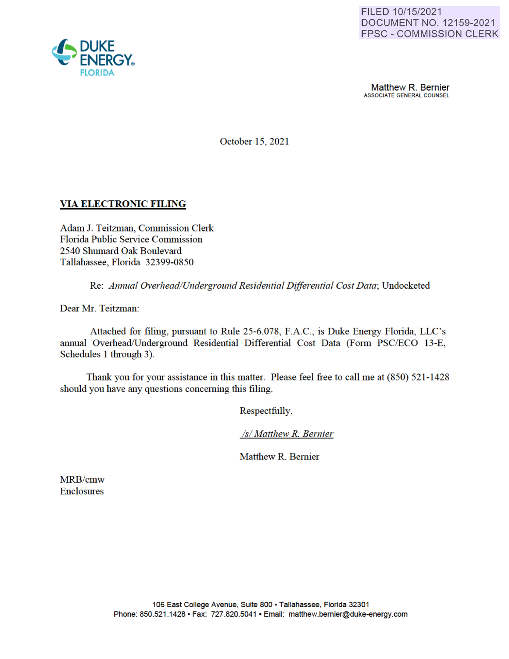

**Matthew R. Bernier**<br>ASSOCIATE GENERAL COUNSEL

October 15, 2021

# **VIA ELECTRONIC FILING**

Adam J. Teitzman, Commission Clerk Florida Public Service Commission 2540 Shumard Oak Boulevard Tallahassee, Florida 32399-0850

Re: *Annual Overhead/Underground Residential Differential Cost Data;* Undocketed

Dear Mr. Teitzman:

Attached for filing, pursuant to Rule 25-6.078, F.A.C., is Duke Energy Florida, LLC's annual Overhead/Underground Residential Differential Cost Data (Form PSC/ECO 13-E, Schedules 1 through 3).

Thank you for your assistance in this matter. Please feel free to call me at (850) 521-1428 should you have any questions concerning this filing.

Respectfully,

*Isl Matthew R. Bernier* 

Matthew R. Bernier

MRB/cmw Enclosures

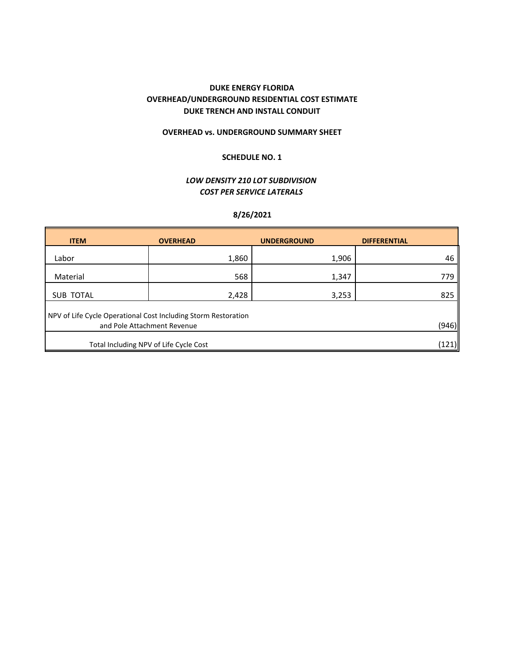## **DUKE ENERGY FLORIDA OVERHEAD/UNDERGROUND RESIDENTIAL COST ESTIMATE DUKE TRENCH AND INSTALL CONDUIT**

## **OVERHEAD vs. UNDERGROUND SUMMARY SHEET**

## **SCHEDULE NO. 1**

## *LOW DENSITY 210 LOT SUBDIVISION COST PER SERVICE LATERALS*

## **8/26/2021**

| <b>ITEM</b>                                                                                            | <b>OVERHEAD</b> | <b>UNDERGROUND</b> | <b>DIFFERENTIAL</b> |  |  |
|--------------------------------------------------------------------------------------------------------|-----------------|--------------------|---------------------|--|--|
| Labor                                                                                                  | 1,860           | 1,906              | 46                  |  |  |
| Material                                                                                               | 568             | 1,347              | 779                 |  |  |
| <b>SUB TOTAL</b>                                                                                       | 2,428           | 3,253              | 825                 |  |  |
| NPV of Life Cycle Operational Cost Including Storm Restoration<br>(946)<br>and Pole Attachment Revenue |                 |                    |                     |  |  |
| Total Including NPV of Life Cycle Cost                                                                 |                 |                    |                     |  |  |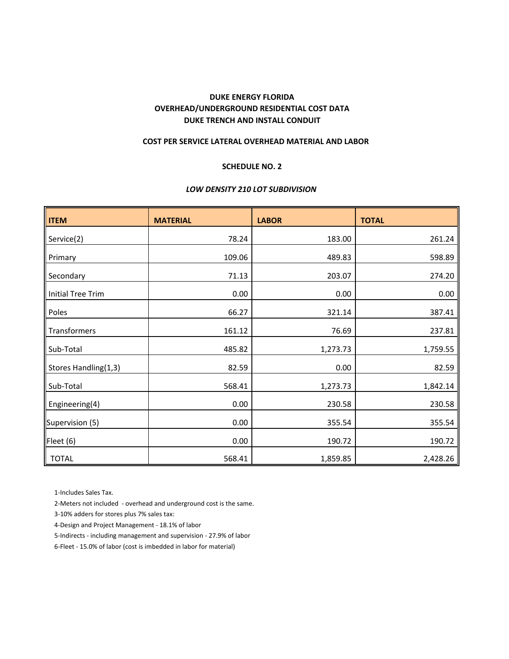## **DUKE TRENCH AND INSTALL CONDUIT OVERHEAD/UNDERGROUND RESIDENTIAL COST DATA DUKE ENERGY FLORIDA**

#### **COST PER SERVICE LATERAL OVERHEAD MATERIAL AND LABOR**

#### **SCHEDULE NO. 2**

### *LOW DENSITY 210 LOT SUBDIVISION*

| <b>ITEM</b>              | <b>MATERIAL</b> | <b>LABOR</b> | <b>TOTAL</b> |
|--------------------------|-----------------|--------------|--------------|
| Service(2)               | 78.24           | 183.00       | 261.24       |
| Primary                  | 109.06          | 489.83       | 598.89       |
| Secondary                | 71.13           | 203.07       | 274.20       |
| <b>Initial Tree Trim</b> | 0.00            | 0.00         | 0.00         |
| Poles                    | 66.27           | 321.14       | 387.41       |
| Transformers             | 161.12          | 76.69        | 237.81       |
| Sub-Total                | 485.82          | 1,273.73     | 1,759.55     |
| Stores Handling(1,3)     | 82.59           | 0.00         | 82.59        |
| Sub-Total                | 568.41          | 1,273.73     | 1,842.14     |
| Engineering(4)           | 0.00            | 230.58       | 230.58       |
| Supervision (5)          | 0.00            | 355.54       | 355.54       |
| Fleet (6)                | 0.00            | 190.72       | 190.72       |
| <b>TOTAL</b>             | 568.41          | 1,859.85     | 2,428.26     |

1‐Includes Sales Tax.

2‐Meters not included ‐ overhead and underground cost is the same.

3‐10% adders for stores plus 7% sales tax:

4‐Design and Project Management ‐ 18.1% of labor

5‐Indirects ‐ including management and supervision ‐ 27.9% of labor

6‐Fleet ‐ 15.0% of labor (cost is imbedded in labor for material)